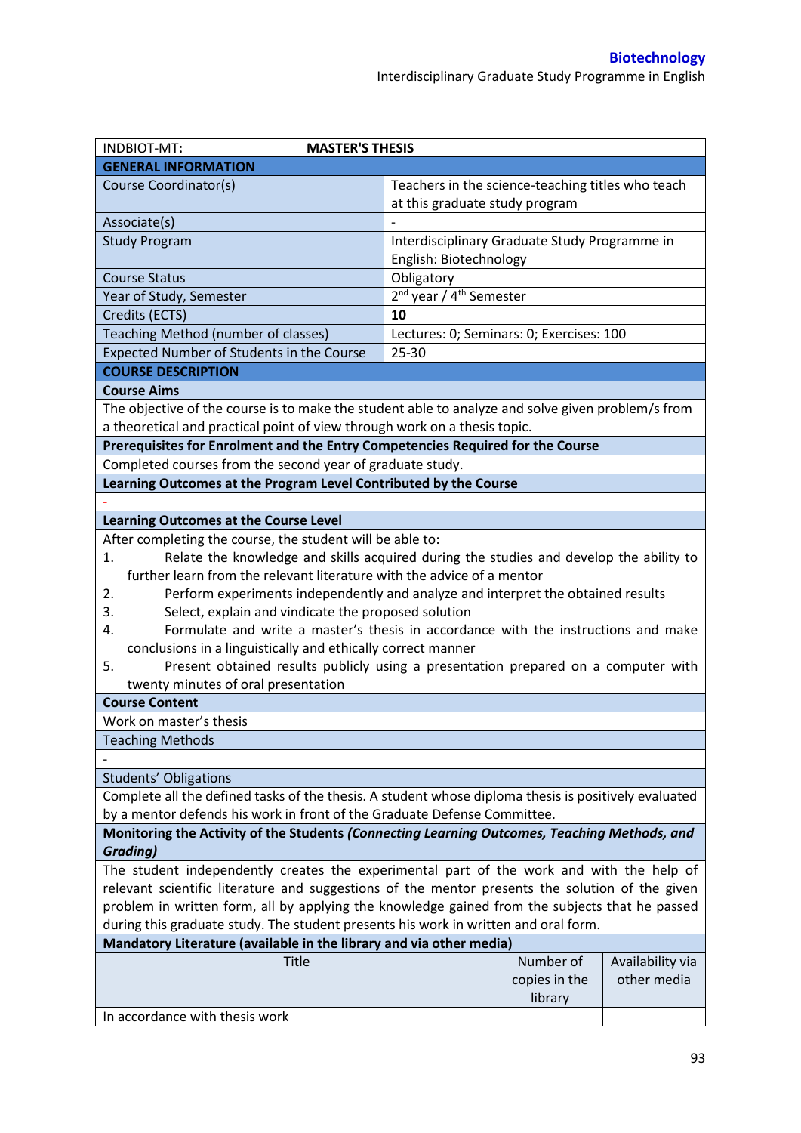| INDBIOT-MT:<br><b>MASTER'S THESIS</b>                                                                                                                                          |                                                                                     |               |                  |
|--------------------------------------------------------------------------------------------------------------------------------------------------------------------------------|-------------------------------------------------------------------------------------|---------------|------------------|
| <b>GENERAL INFORMATION</b>                                                                                                                                                     |                                                                                     |               |                  |
| Course Coordinator(s)                                                                                                                                                          | Teachers in the science-teaching titles who teach<br>at this graduate study program |               |                  |
| Associate(s)                                                                                                                                                                   |                                                                                     |               |                  |
| <b>Study Program</b>                                                                                                                                                           | Interdisciplinary Graduate Study Programme in                                       |               |                  |
|                                                                                                                                                                                | English: Biotechnology                                                              |               |                  |
| <b>Course Status</b>                                                                                                                                                           | Obligatory                                                                          |               |                  |
| Year of Study, Semester                                                                                                                                                        | 2 <sup>nd</sup> year / 4 <sup>th</sup> Semester                                     |               |                  |
| Credits (ECTS)                                                                                                                                                                 | 10                                                                                  |               |                  |
| Teaching Method (number of classes)                                                                                                                                            | Lectures: 0; Seminars: 0; Exercises: 100                                            |               |                  |
| Expected Number of Students in the Course                                                                                                                                      | 25-30                                                                               |               |                  |
| <b>COURSE DESCRIPTION</b>                                                                                                                                                      |                                                                                     |               |                  |
|                                                                                                                                                                                |                                                                                     |               |                  |
| <b>Course Aims</b>                                                                                                                                                             |                                                                                     |               |                  |
| The objective of the course is to make the student able to analyze and solve given problem/s from<br>a theoretical and practical point of view through work on a thesis topic. |                                                                                     |               |                  |
| Prerequisites for Enrolment and the Entry Competencies Required for the Course                                                                                                 |                                                                                     |               |                  |
| Completed courses from the second year of graduate study.                                                                                                                      |                                                                                     |               |                  |
| Learning Outcomes at the Program Level Contributed by the Course                                                                                                               |                                                                                     |               |                  |
|                                                                                                                                                                                |                                                                                     |               |                  |
| <b>Learning Outcomes at the Course Level</b>                                                                                                                                   |                                                                                     |               |                  |
| After completing the course, the student will be able to:                                                                                                                      |                                                                                     |               |                  |
| Relate the knowledge and skills acquired during the studies and develop the ability to<br>1.                                                                                   |                                                                                     |               |                  |
| further learn from the relevant literature with the advice of a mentor                                                                                                         |                                                                                     |               |                  |
| Perform experiments independently and analyze and interpret the obtained results<br>2.                                                                                         |                                                                                     |               |                  |
| Select, explain and vindicate the proposed solution<br>3.                                                                                                                      |                                                                                     |               |                  |
| Formulate and write a master's thesis in accordance with the instructions and make<br>4.                                                                                       |                                                                                     |               |                  |
| conclusions in a linguistically and ethically correct manner                                                                                                                   |                                                                                     |               |                  |
| Present obtained results publicly using a presentation prepared on a computer with<br>5.                                                                                       |                                                                                     |               |                  |
| twenty minutes of oral presentation                                                                                                                                            |                                                                                     |               |                  |
| <b>Course Content</b>                                                                                                                                                          |                                                                                     |               |                  |
| Work on master's thesis                                                                                                                                                        |                                                                                     |               |                  |
| <b>Teaching Methods</b>                                                                                                                                                        |                                                                                     |               |                  |
|                                                                                                                                                                                |                                                                                     |               |                  |
| <b>Students' Obligations</b>                                                                                                                                                   |                                                                                     |               |                  |
| Complete all the defined tasks of the thesis. A student whose diploma thesis is positively evaluated                                                                           |                                                                                     |               |                  |
| by a mentor defends his work in front of the Graduate Defense Committee.                                                                                                       |                                                                                     |               |                  |
| Monitoring the Activity of the Students (Connecting Learning Outcomes, Teaching Methods, and                                                                                   |                                                                                     |               |                  |
| <b>Grading)</b>                                                                                                                                                                |                                                                                     |               |                  |
| The student independently creates the experimental part of the work and with the help of                                                                                       |                                                                                     |               |                  |
| relevant scientific literature and suggestions of the mentor presents the solution of the given                                                                                |                                                                                     |               |                  |
| problem in written form, all by applying the knowledge gained from the subjects that he passed                                                                                 |                                                                                     |               |                  |
| during this graduate study. The student presents his work in written and oral form.                                                                                            |                                                                                     |               |                  |
| Mandatory Literature (available in the library and via other media)                                                                                                            |                                                                                     |               |                  |
| <b>Title</b>                                                                                                                                                                   |                                                                                     | Number of     | Availability via |
|                                                                                                                                                                                |                                                                                     | copies in the | other media      |
|                                                                                                                                                                                |                                                                                     | library       |                  |
| In accordance with thesis work                                                                                                                                                 |                                                                                     |               |                  |